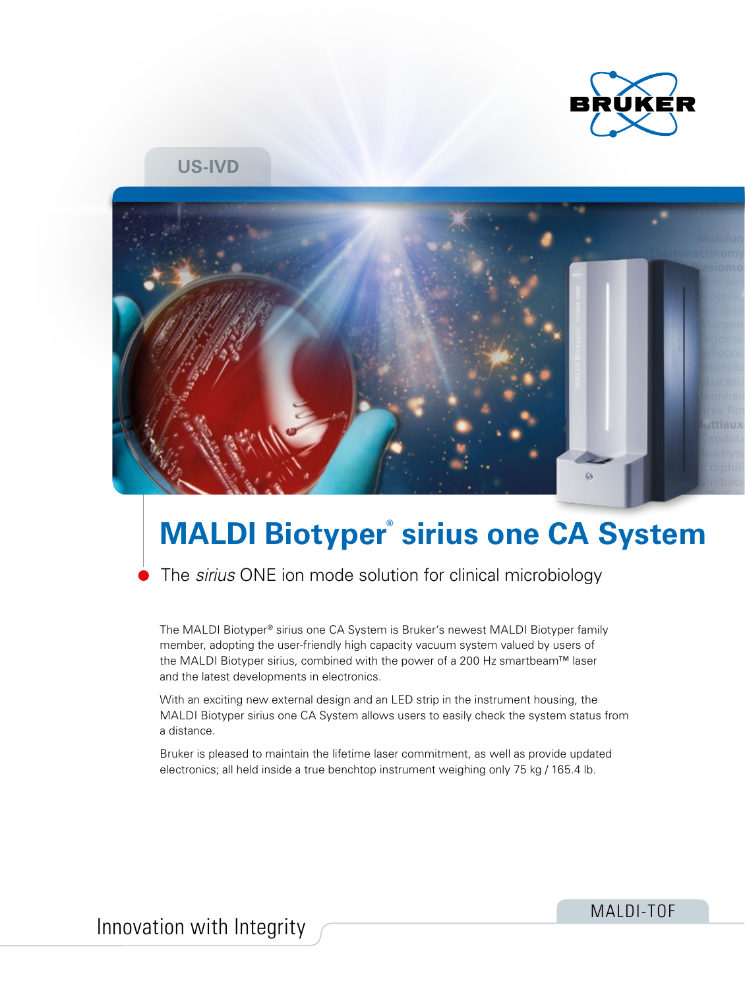

### **US-IVD**



# **MALDI Biotyper® sirius one CA System**

The *sirius* ONE ion mode solution for clinical microbiology

The MALDI Biotyper® sirius one CA System is Bruker's newest MALDI Biotyper family member, adopting the user-friendly high capacity vacuum system valued by users of the MALDI Biotyper sirius, combined with the power of a 200 Hz smartbeam™ laser and the latest developments in electronics.

With an exciting new external design and an LED strip in the instrument housing, the MALDI Biotyper sirius one CA System allows users to easily check the system status from a distance.

Bruker is pleased to maintain the lifetime laser commitment, as well as provide updated electronics; all held inside a true benchtop instrument weighing only 75 kg / 165.4 lb.

MALDI-TOF